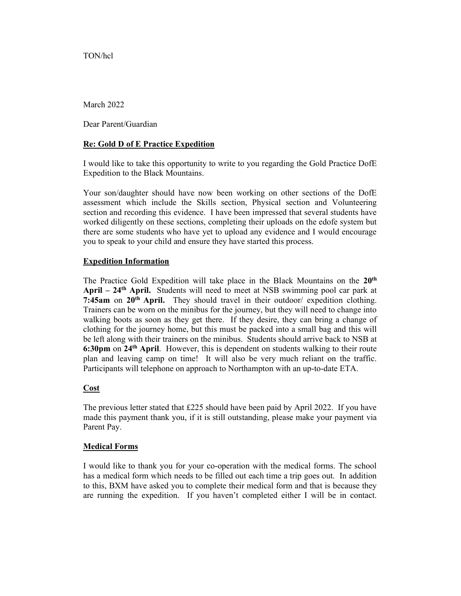TON/hcl

March 2022

Dear Parent/Guardian

## Re: Gold D of E Practice Expedition

I would like to take this opportunity to write to you regarding the Gold Practice DofE Expedition to the Black Mountains.

Your son/daughter should have now been working on other sections of the DofE assessment which include the Skills section, Physical section and Volunteering section and recording this evidence. I have been impressed that several students have worked diligently on these sections, completing their uploads on the edofe system but there are some students who have yet to upload any evidence and I would encourage you to speak to your child and ensure they have started this process.

### Expedition Information

The Practice Gold Expedition will take place in the Black Mountains on the 20<sup>th</sup> April –  $24<sup>th</sup>$  April. Students will need to meet at NSB swimming pool car park at 7: $45am$  on  $20<sup>th</sup>$  April. They should travel in their outdoor/ expedition clothing. Trainers can be worn on the minibus for the journey, but they will need to change into walking boots as soon as they get there. If they desire, they can bring a change of clothing for the journey home, but this must be packed into a small bag and this will be left along with their trainers on the minibus. Students should arrive back to NSB at 6:30pm on 24th April. However, this is dependent on students walking to their route plan and leaving camp on time! It will also be very much reliant on the traffic. Participants will telephone on approach to Northampton with an up-to-date ETA.

# **Cost**

The previous letter stated that £225 should have been paid by April 2022. If you have made this payment thank you, if it is still outstanding, please make your payment via Parent Pay.

# Medical Forms

I would like to thank you for your co-operation with the medical forms. The school has a medical form which needs to be filled out each time a trip goes out. In addition to this, BXM have asked you to complete their medical form and that is because they are running the expedition. If you haven't completed either I will be in contact.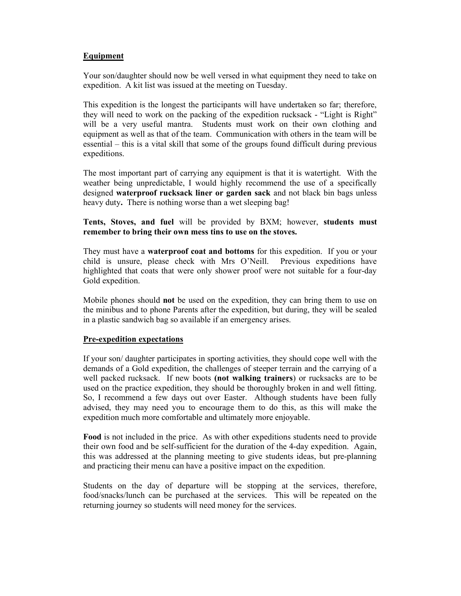## Equipment

Your son/daughter should now be well versed in what equipment they need to take on expedition. A kit list was issued at the meeting on Tuesday.

This expedition is the longest the participants will have undertaken so far; therefore, they will need to work on the packing of the expedition rucksack - "Light is Right" will be a very useful mantra. Students must work on their own clothing and equipment as well as that of the team. Communication with others in the team will be essential – this is a vital skill that some of the groups found difficult during previous expeditions.

The most important part of carrying any equipment is that it is watertight. With the weather being unpredictable, I would highly recommend the use of a specifically designed waterproof rucksack liner or garden sack and not black bin bags unless heavy duty. There is nothing worse than a wet sleeping bag!

Tents, Stoves, and fuel will be provided by BXM; however, students must remember to bring their own mess tins to use on the stoves.

They must have a **waterproof coat and bottoms** for this expedition. If you or your child is unsure, please check with Mrs O'Neill. Previous expeditions have highlighted that coats that were only shower proof were not suitable for a four-day Gold expedition.

Mobile phones should not be used on the expedition, they can bring them to use on the minibus and to phone Parents after the expedition, but during, they will be sealed in a plastic sandwich bag so available if an emergency arises.

### Pre-expedition expectations

If your son/ daughter participates in sporting activities, they should cope well with the demands of a Gold expedition, the challenges of steeper terrain and the carrying of a well packed rucksack. If new boots (not walking trainers) or rucksacks are to be used on the practice expedition, they should be thoroughly broken in and well fitting. So, I recommend a few days out over Easter. Although students have been fully advised, they may need you to encourage them to do this, as this will make the expedition much more comfortable and ultimately more enjoyable.

Food is not included in the price. As with other expeditions students need to provide their own food and be self-sufficient for the duration of the 4-day expedition. Again, this was addressed at the planning meeting to give students ideas, but pre-planning and practicing their menu can have a positive impact on the expedition.

Students on the day of departure will be stopping at the services, therefore, food/snacks/lunch can be purchased at the services. This will be repeated on the returning journey so students will need money for the services.